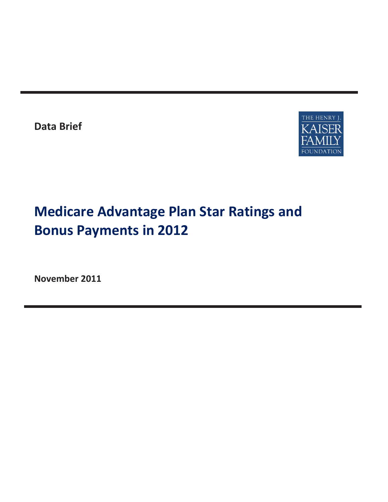**Data Brief** 



# **Medicare Advantage Plan Star Ratings and Bonus Payments in 2012**

**November 2011**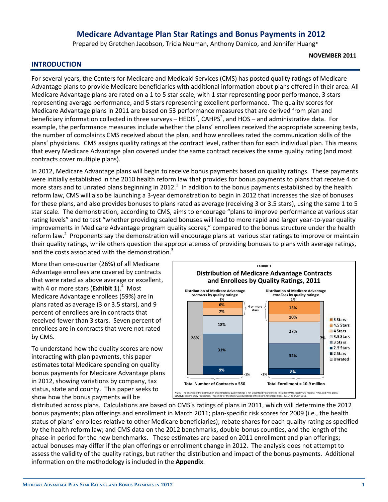# **Medicare Advantage Plan Star Ratings and Bonus Payments in 2012**

Prepared by Gretchen Jacobson, Tricia Neuman, Anthony Damico, and Jennifer Huang\*

#### **NOVEMBER 2011**

#### **INTRODUCTION**

For several years, the Centers for Medicare and Medicaid Services (CMS) has posted quality ratings of Medicare Advantage plans to provide Medicare beneficiaries with additional information about plans offered in their area. All Medicare Advantage plans are rated on a 1 to 5 star scale, with 1 star representing poor performance, 3 stars representing average performance, and 5 stars representing excellent performance. The quality scores for Medicare Advantage plans in 2011 are based on 53 performance measures that are derived from plan and beneficiary information collected in three surveys – HEDIS<sup>®</sup>, CAHPS<sup>®</sup>, and HOS – and administrative data. For example, the performance measures include whether the plans' enrollees received the appropriate screening tests, the number of complaints CMS received about the plan, and how enrollees rated the communication skills of the plans' physicians. CMS assigns quality ratings at the contract level, rather than for each individual plan. This means that every Medicare Advantage plan covered under the same contract receives the same quality rating (and most contracts cover multiple plans).

In 2012, Medicare Advantage plans will begin to receive bonus payments based on quality ratings. These payments were initially established in the 2010 health reform law that provides for bonus payments to plans that receive 4 or more stars and to unrated plans beginning in 2012.<sup>1</sup> In addition to the bonus payments established by the health reform law, CMS will also be launching a 3-year demonstration to begin in 2012 that increases the size of bonuses for these plans, and also provides bonuses to plans rated as average (receiving 3 or 3.5 stars), using the same 1 to 5 star scale. The demonstration, according to CMS, aims to encourage "plans to improve performance at various star rating levels" and to test "whether providing scaled bonuses will lead to more rapid and larger year-to-year quality improvements in Medicare Advantage program quality scores," compared to the bonus structure under the health reform law.<sup>2</sup> Proponents say the demonstration will encourage plans at various star ratings to improve or maintain their quality ratings, while others question the appropriateness of providing bonuses to plans with average ratings, and the costs associated with the demonstration.<sup>3</sup>

More than one-quarter (26%) of all Medicare Advantage enrollees are covered by contracts that were rated as above average or excellent, with 4 or more stars (**Exhibit 1**).<sup>4</sup> Most Medicare Advantage enrollees (59%) are in plans rated as average (3 or 3.5 stars), and 9 percent of enrollees are in contracts that received fewer than 3 stars. Seven percent of enrollees are in contracts that were not rated by CMS.

To understand how the quality scores are now interacting with plan payments, this paper estimates total Medicare spending on quality bonus payments for Medicare Advantage plans in 2012, showing variations by company, tax status, state and county. This paper seeks to show how the bonus payments will be



distributed across plans. Calculations are based on CMS's ratings of plans in 2011, which will determine the 2012 bonus payments; plan offerings and enrollment in March 2011; plan-specific risk scores for 2009 (i.e., the health status of plans' enrollees relative to other Medicare beneficiaries); rebate shares for each quality rating as specified by the health reform law; and CMS data on the 2012 benchmarks, double-bonus counties, and the length of the phase-in period for the new benchmarks. These estimates are based on 2011 enrollment and plan offerings; actual bonuses may differ if the plan offerings or enrollment change in 2012. The analysis does not attempt to assess the validity of the quality ratings, but rather the distribution and impact of the bonus payments. Additional information on the methodology is included in the **Appendix**.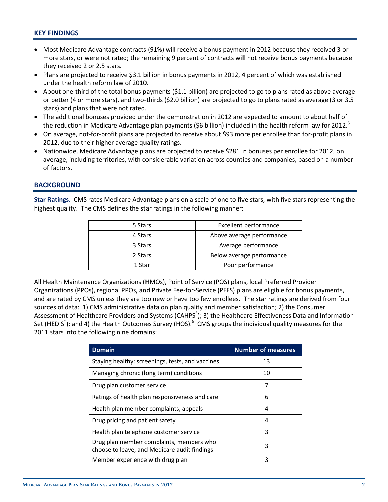### **KEY FINDINGS**

- Most Medicare Advantage contracts (91%) will receive a bonus payment in 2012 because they received 3 or more stars, or were not rated; the remaining 9 percent of contracts will not receive bonus payments because they received 2 or 2.5 stars.
- Plans are projected to receive \$3.1 billion in bonus payments in 2012, 4 percent of which was established under the health reform law of 2010.
- $\bullet$  About one-third of the total bonus payments (\$1.1 billion) are projected to go to plans rated as above average or better (4 or more stars), and two-thirds (\$2.0 billion) are projected to go to plans rated as average (3 or 3.5 stars) and plans that were not rated.
- The additional bonuses provided under the demonstration in 2012 are expected to amount to about half of the reduction in Medicare Advantage plan payments (\$6 billion) included in the health reform law for 2012.<sup>5</sup>
- On average, not-for-profit plans are projected to receive about \$93 more per enrollee than for-profit plans in 2012, due to their higher average quality ratings.
- Nationwide, Medicare Advantage plans are projected to receive \$281 in bonuses per enrollee for 2012, on average, including territories, with considerable variation across counties and companies, based on a number of factors.

#### **BACKGROUND**

**Star Ratings.** CMS rates Medicare Advantage plans on a scale of one to five stars, with five stars representing the highest quality. The CMS defines the star ratings in the following manner:

| 5 Stars | <b>Excellent performance</b> |
|---------|------------------------------|
| 4 Stars | Above average performance    |
| 3 Stars | Average performance          |
| 2 Stars | Below average performance    |
| 1 Star  | Poor performance             |

All Health Maintenance Organizations (HMOs), Point of Service (POS) plans, local Preferred Provider Organizations (PPOs), regional PPOs, and Private Fee-for-Service (PFFS) plans are eligible for bonus payments, and are rated by CMS unless they are too new or have too few enrollees. The star ratings are derived from four sources of data: 1) CMS administrative data on plan quality and member satisfaction; 2) the Consumer Assessment of Healthcare Providers and Systems (CAHPS<sup>®</sup>); 3) the Healthcare Effectiveness Data and Information Set (HEDIS<sup>®</sup>); and 4) the Health Outcomes Survey (HOS).<sup>6</sup> CMS groups the individual quality measures for the 2011 stars into the following nine domains:

| <b>Domain</b>                                                                            | <b>Number of measures</b> |
|------------------------------------------------------------------------------------------|---------------------------|
| Staying healthy: screenings, tests, and vaccines                                         | 13                        |
| Managing chronic (long term) conditions                                                  | 10                        |
| Drug plan customer service                                                               | 7                         |
| Ratings of health plan responsiveness and care                                           | 6                         |
| Health plan member complaints, appeals                                                   | 4                         |
| Drug pricing and patient safety                                                          | 4                         |
| Health plan telephone customer service                                                   | 3                         |
| Drug plan member complaints, members who<br>choose to leave, and Medicare audit findings | 3                         |
| Member experience with drug plan                                                         | 3                         |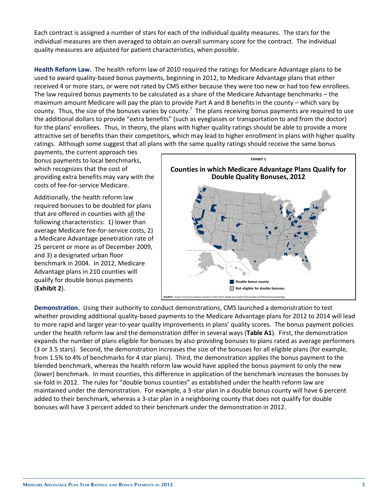Each contract is assigned a number of stars for each of the individual quality measures. The stars for the individual measures are then averaged to obtain an overall summary score for the contract. The individual quality measures are adjusted for patient characteristics, when possible.

**Health Reform Law.** The health reform law of 2010 required the ratings for Medicare Advantage plans to be used to award quality-based bonus payments, beginning in 2012, to Medicare Advantage plans that either received 4 or more stars, or were not rated by CMS either because they were too new or had too few enrollees. The law required bonus payments to be calculated as a share of the Medicare Advantage benchmarks – the maximum amount Medicare will pay the plan to provide Part A and B benefits in the county – which vary by county. Thus, the size of the bonuses varies by county.<sup>7</sup> The plans receiving bonus payments are required to use the additional dollars to provide "extra benefits" (such as eyeglasses or transportation to and from the doctor) for the plans' enrollees. Thus, in theory, the plans with higher quality ratings should be able to provide a more attractive set of benefits than their competitors, which may lead to higher enrollment in plans with higher quality ratings. Although some suggest that all plans with the same quality ratings should receive the same bonus

payments, the current approach ties bonus payments to local benchmarks, which recognizes that the cost of providing extra benefits may vary with the costs of fee-for-service Medicare.

Additionally, the health reform law required bonuses to be doubled for plans that are offered in counties with all the following characteristics: 1) lower than average Medicare fee-for-service costs, 2) a Medicare Advantage penetration rate of 25 percent or more as of December 2009, and 3) a designated urban floor benchmark in 2004. In 2012, Medicare Advantage plans in 210 counties will qualify for double bonus payments (**Exhibit 2**).



**Demonstration.** Using their authority to conduct demonstrations, CMS launched a demonstration to test whether providing additional quality-based payments to the Medicare Advantage plans for 2012 to 2014 will lead to more rapid and larger year-to-year quality improvements in plans' quality scores. The bonus payment policies under the health reform law and the demonstration differ in several ways (**Table A1**). First, the demonstration expands the number of plans eligible for bonuses by also providing bonuses to plans rated as average performers (3 or 3.5 stars). Second, the demonstration increases the size of the bonuses for all eligible plans (for example, from 1.5% to 4% of benchmarks for 4 star plans). Third, the demonstration applies the bonus payment to the blended benchmark, whereas the health reform law would have applied the bonus payment to only the new (lower) benchmark. In most counties, this difference in application of the benchmark increases the bonuses by six-fold in 2012. The rules for "double bonus counties" as established under the health reform law are maintained under the demonstration. For example, a 3-star plan in a double bonus county will have 6 percent added to their benchmark, whereas a 3-star plan in a neighboring county that does not qualify for double bonuses will have 3 percent added to their benchmark under the demonstration in 2012.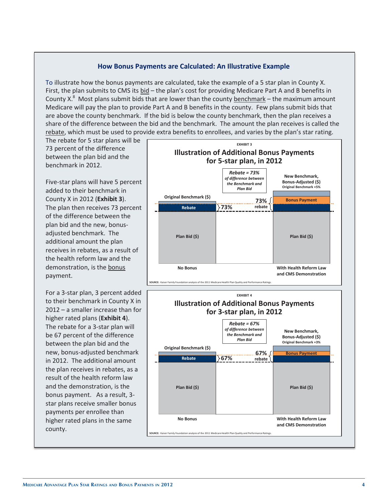#### **How Bonus Payments are Calculated: An Illustrative Example**

To illustrate how the bonus payments are calculated, take the example of a 5 star plan in County X. First, the plan submits to CMS its bid - the plan's cost for providing Medicare Part A and B benefits in County X.<sup>8</sup> Most plans submit bids that are lower than the county **benchmark** – the maximum amount Medicare will pay the plan to provide Part A and B benefits in the county. Few plans submit bids that are above the county benchmark. If the bid is below the county benchmark, then the plan receives a share of the difference between the bid and the benchmark. The amount the plan receives is called the rebate, which must be used to provide extra benefits to enrollees, and varies by the plan's star rating.

The rebate for 5 star plans will be 73 percent of the difference between the plan bid and the benchmark in 2012.

Five-star plans will have 5 percent added to their benchmark in County X in 2012 (**Exhibit 3**). The plan then receives 73 percent of the difference between the plan bid and the new, bonusadjusted benchmark. The additional amount the plan receives in rebates, as a result of the health reform law and the demonstration, is the bonus payment.

For a 3-star plan, 3 percent added to their benchmark in County X in 2012 – a smaller increase than for higher rated plans (**Exhibit 4**). The rebate for a 3-star plan will be 67 percent of the difference between the plan bid and the new, bonus-adjusted benchmark in 2012. The additional amount the plan receives in rebates, as a result of the health reform law and the demonstration, is the bonus payment. As a result, 3 star plans receive smaller bonus payments per enrollee than higher rated plans in the same county.



**SOURCE:** Kaiser Family Foundation analysis of the 2011 Medicare Health Plan Quality and Performance Ratings.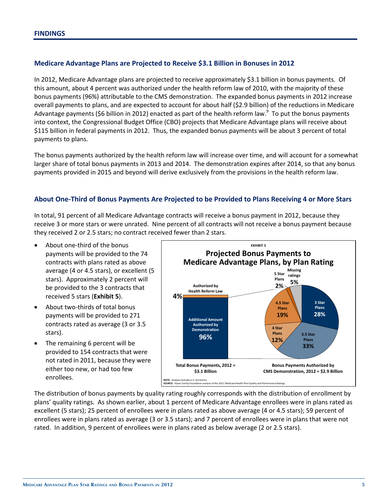### **Medicare Advantage Plans are Projected to Receive \$3.1 Billion in Bonuses in 2012**

In 2012, Medicare Advantage plans are projected to receive approximately \$3.1 billion in bonus payments. Of this amount, about 4 percent was authorized under the health reform law of 2010, with the majority of these bonus payments (96%) attributable to the CMS demonstration. The expanded bonus payments in 2012 increase overall payments to plans, and are expected to account for about half (\$2.9 billion) of the reductions in Medicare Advantage payments (\$6 billion in 2012) enacted as part of the health reform law.<sup>9</sup> To put the bonus payments into context, the Congressional Budget Office (CBO) projects that Medicare Advantage plans will receive about \$115 billion in federal payments in 2012. Thus, the expanded bonus payments will be about 3 percent of total payments to plans.

The bonus payments authorized by the health reform law will increase over time, and will account for a somewhat larger share of total bonus payments in 2013 and 2014. The demonstration expires after 2014, so that any bonus payments provided in 2015 and beyond will derive exclusively from the provisions in the health reform law.

#### **About One-Third of Bonus Payments Are Projected to be Provided to Plans Receiving 4 or More Stars**

In total, 91 percent of all Medicare Advantage contracts will receive a bonus payment in 2012, because they receive 3 or more stars or were unrated. Nine percent of all contracts will not receive a bonus payment because they received 2 or 2.5 stars; no contract received fewer than 2 stars.

- About one-third of the bonus payments will be provided to the 74 contracts with plans rated as above average (4 or 4.5 stars), or excellent (5 stars). Approximately 2 percent will be provided to the 3 contracts that received 5 stars (**Exhibit 5**).
- About two-thirds of total bonus payments will be provided to 271 contracts rated as average (3 or 3.5 stars).
- The remaining 6 percent will be provided to 154 contracts that were not rated in 2011, because they were either too new, or had too few enrollees.



The distribution of bonus payments by quality rating roughly corresponds with the distribution of enrollment by plans' quality ratings. As shown earlier, about 1 percent of Medicare Advantage enrollees were in plans rated as excellent (5 stars); 25 percent of enrollees were in plans rated as above average (4 or 4.5 stars); 59 percent of enrollees were in plans rated as average (3 or 3.5 stars); and 7 percent of enrollees were in plans that were not rated. In addition, 9 percent of enrollees were in plans rated as below average (2 or 2.5 stars).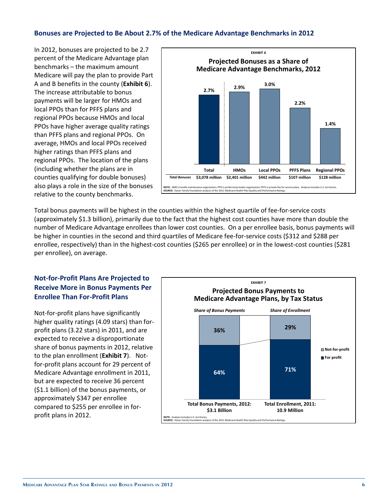### **Bonuses are Projected to Be About 2.7% of the Medicare Advantage Benchmarks in 2012**

In 2012, bonuses are projected to be 2.7 percent of the Medicare Advantage plan benchmarks – the maximum amount Medicare will pay the plan to provide Part A and B benefits in the county (**Exhibit 6**). The increase attributable to bonus payments will be larger for HMOs and local PPOs than for PFFS plans and regional PPOs because HMOs and local PPOs have higher average quality ratings than PFFS plans and regional PPOs. On average, HMOs and local PPOs received higher ratings than PFFS plans and regional PPOs. The location of the plans (including whether the plans are in counties qualifying for double bonuses) also plays a role in the size of the bonuses relative to the county benchmarks.



Total bonus payments will be highest in the counties within the highest quartile of fee-for-service costs (approximately \$1.3 billion), primarily due to the fact that the highest cost counties have more than double the number of Medicare Advantage enrollees than lower cost counties. On a per enrollee basis, bonus payments will be higher in counties in the second and third quartiles of Medicare fee-for-service costs (\$312 and \$288 per enrollee, respectively) than in the highest-cost counties (\$265 per enrollee) or in the lowest-cost counties (\$281 per enrollee), on average.

# **Not-for-Profit Plans Are Projected to Receive More in Bonus Payments Per Enrollee Than For-Profit Plans**

Not-for-profit plans have significantly higher quality ratings (4.09 stars) than forprofit plans (3.22 stars) in 2011, and are expected to receive a disproportionate share of bonus payments in 2012, relative to the plan enrollment (**Exhibit 7**). Notfor-profit plans account for 29 percent of Medicare Advantage enrollment in 2011, but are expected to receive 36 percent (\$1.1 billion) of the bonus payments, or approximately \$347 per enrollee compared to \$255 per enrollee in forprofit plans in 2012.

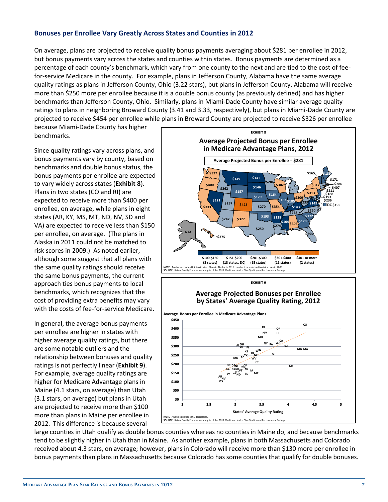#### **Bonuses per Enrollee Vary Greatly Across States and Counties in 2012**

On average, plans are projected to receive quality bonus payments averaging about \$281 per enrollee in 2012, but bonus payments vary across the states and counties within states. Bonus payments are determined as a percentage of each county's benchmark, which vary from one county to the next and are tied to the cost of feefor-service Medicare in the county. For example, plans in Jefferson County, Alabama have the same average quality ratings as plans in Jefferson County, Ohio (3.22 stars), but plans in Jefferson County, Alabama will receive more than \$250 more per enrollee because it is a double bonus county (as previously defined) and has higher benchmarks than Jefferson County, Ohio. Similarly, plans in Miami-Dade County have similar average quality ratings to plans in neighboring Broward County (3.41 and 3.33, respectively), but plans in Miami-Dade County are projected to receive \$454 per enrollee while plans in Broward County are projected to receive \$326 per enrollee

because Miami-Dade County has higher benchmarks.

Since quality ratings vary across plans, and bonus payments vary by county, based on benchmarks and double bonus status, the bonus payments per enrollee are expected to vary widely across states (**Exhibit 8**). Plans in two states (CO and RI) are expected to receive more than \$400 per enrollee, on average, while plans in eight states (AR, KY, MS, MT, ND, NV, SD and VA) are expected to receive less than \$150 per enrollee, on average. (The plans in Alaska in 2011 could not be matched to risk scores in 2009.) As noted earlier, although some suggest that all plans with the same quality ratings should receive the same bonus payments, the current approach ties bonus payments to local benchmarks, which recognizes that the cost of providing extra benefits may vary with the costs of fee-for-service Medicare.

In general, the average bonus payments per enrollee are higher in states with higher average quality ratings, but there are some notable outliers and the relationship between bonuses and quality ratings is not perfectly linear (**Exhibit 9**). For example, average quality ratings are higher for Medicare Advantage plans in Maine (4.1 stars, on average) than Utah (3.1 stars, on average) but plans in Utah are projected to receive more than \$100 more than plans in Maine per enrollee in 2012. This difference is because several





large counties in Utah qualify as double bonus counties whereas no counties in Maine do, and because benchmarks tend to be slightly higher in Utah than in Maine. As another example, plans in both Massachusetts and Colorado received about 4.3 stars, on average; however, plans in Colorado will receive more than \$130 more per enrollee in bonus payments than plans in Massachusetts because Colorado has some counties that qualify for double bonuses.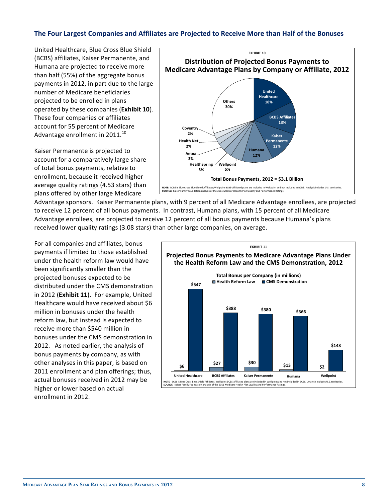#### The Four Largest Companies and Affiliates are Projected to Receive More than Half of the Bonuses

United Healthcare, Blue Cross Blue Shield (BCBS) affiliates, Kaiser Permanente, and Humana are projected to receive more than half (55%) of the aggregate bonus payments in 2012, in part due to the large number of Medicare beneficiaries projected to be enrolled in plans operated by these companies (**Exhibit 10**). 

These four companies or affiliates account for 55 percent of Medicare Advantage enrollment in  $2011.<sup>10</sup>$ 

Kaiser Permanente is projected to account for a comparatively large share of total bonus payments, relative to enrollment, because it received higher average quality ratings (4.53 stars) than plans offered by other large Medicare



Advantage sponsors. Kaiser Permanente plans, with 9 percent of all Medicare Advantage enrollees, are projected to receive 12 percent of all bonus payments. In contrast, Humana plans, with 15 percent of all Medicare Advantage enrollees, are projected to receive 12 percent of all bonus payments because Humana's plans received lower quality ratings (3.08 stars) than other large companies, on average.

For all companies and affiliates, bonus payments if limited to those established under the health reform law would have been significantly smaller than the projected bonuses expected to be distributed under the CMS demonstration in 2012 (Exhibit 11). For example, United Healthcare would have received about \$6 million in bonuses under the health reform law, but instead is expected to receive more than \$540 million in bonuses under the CMS demonstration in 2012. As noted earlier, the analysis of bonus payments by company, as with other analyses in this paper, is based on 2011 enrollment and plan offerings; thus, actual bonuses received in 2012 may be higher or lower based on actual enrollment in 2012.

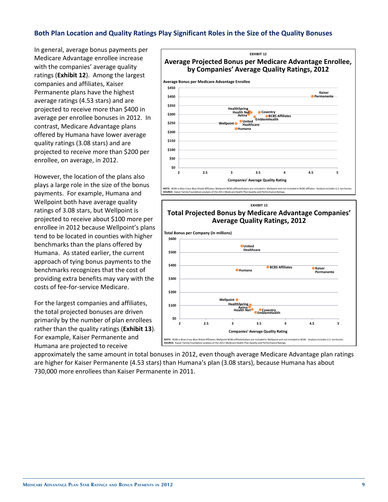## **Both Plan Location and Quality Ratings Play Significant Roles in the Size of the Quality Bonuses**

In general, average bonus payments per Medicare Advantage enrollee increase with the companies' average quality ratings (**Exhibit 12**). Among the largest companies and affiliates, Kaiser Permanente plans have the highest average ratings (4.53 stars) and are projected to receive more than \$400 in average per enrollee bonuses in 2012. In contrast, Medicare Advantage plans offered by Humana have lower average quality ratings (3.08 stars) and are projected to receive more than \$200 per enrollee, on average, in 2012.

However, the location of the plans also plays a large role in the size of the bonus payments. For example, Humana and Wellpoint both have average quality ratings of 3.08 stars, but Wellpoint is projected to receive about \$100 more per enrollee in 2012 because Wellpoint's plans tend to be located in counties with higher benchmarks than the plans offered by Humana. As stated earlier, the current approach of tying bonus payments to the benchmarks recognizes that the cost of providing extra benefits may vary with the costs of fee-for-service Medicare.

For the largest companies and affiliates, the total projected bonuses are driven primarily by the number of plan enrollees rather than the quality ratings (**Exhibit 13**). For example, Kaiser Permanente and Humana are projected to receive





approximately the same amount in total bonuses in 2012, even though average Medicare Advantage plan ratings are higher for Kaiser Permanente (4.53 stars) than Humana's plan (3.08 stars), because Humana has about 730,000 more enrollees than Kaiser Permanente in 2011.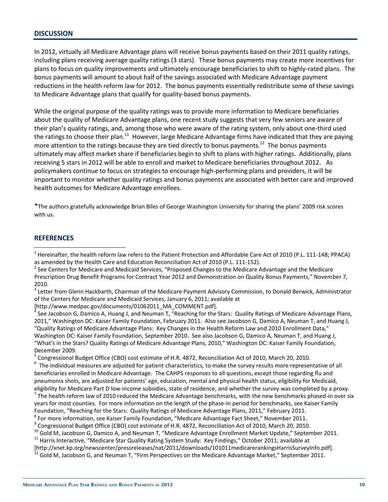#### **DISCUSSION**

In 2012, virtually all Medicare Advantage plans will receive bonus payments based on their 2011 quality ratings, including plans receiving average quality ratings (3 stars). These bonus payments may create more incentives for plans to focus on quality improvements and ultimately encourage beneficiaries to shift to highly-rated plans. The bonus payments will amount to about half of the savings associated with Medicare Advantage payment reductions in the health reform law for 2012. The bonus payments essentially redistribute some of these savings to Medicare Advantage plans that qualify for quality-based bonus payments.

While the original purpose of the quality ratings was to provide more information to Medicare beneficiaries about the quality of Medicare Advantage plans, one recent study suggests that very few seniors are aware of their plan's quality ratings, and, among those who were aware of the rating system, only about one-third used the ratings to choose their plan.<sup>11</sup> However, large Medicare Advantage firms have indicated that they are paying more attention to the ratings because they are tied directly to bonus payments.<sup>12</sup> The bonus payments ultimately may affect market share if beneficiaries begin to shift to plans with higher ratings. Additionally, plans receiving 5 stars in 2012 will be able to enroll and market to Medicare beneficiaries throughout 2012. As policymakers continue to focus on strategies to encourage high-performing plans and providers, it will be important to monitor whether quality ratings and bonus payments are associated with better care and improved health outcomes for Medicare Advantage enrollees.

\*The authors gratefully acknowledge Brian Biles of George Washington University for sharing the plans' 2009 risk scores with us.

#### **REFERENCES**

 $\overline{a}$ 

[http://www.medpac.gov/documents/01062011\_MA\_COMMENT.pdf].

 $4$  See Jacobson G, Damico A, Huang J, and Neuman T, "Reaching for the Stars: Quality Ratings of Medicare Advantage Plans, 2011," Washington DC: Kaiser Family Foundation, February 2011. Also see Jacobson G, Damico A, Neuman T, and Huang J, "Quality Ratings of Medicare Advantage Plans: Key Changes in the Health Reform Law and 2010 Enrollment Data," Washington DC: Kaiser Family Foundation, September 2010. See also Jacobson G, Damico A, Neuman T, and Huang J, "What's in the Stars? Quality Ratings of Medicare Advantage Plans, 2010," Washington DC: Kaiser Family Foundation, December 2009.

5 Congressional Budget Office (CBO) cost estimate of H.R. 4872, Reconciliation Act of 2010, March 20, 2010.

 $^6$  The individual measures are adjusted for patient characteristics, to make the survey results more representative of all beneficiaries enrolled in Medicare Advantage. The CAHPS responses to all questions, except those regarding flu and pneumonia shots, are adjusted for patients' age, education, mental and physical health status, eligibility for Medicaid, eligibility for Medicare Part D low-income subsidies, state of residence, and whether the survey was completed by a proxy.

 $^7$  The health reform law of 2010 reduced the Medicare Advantage benchmarks, with the new benchmarks phased-in over six years for most counties. For more information on the length of the phase-in period for benchmarks, see Kaiser Family

<sup>&</sup>lt;sup>1</sup> Hereinafter, the health reform law refers to the Patient Protection and Affordable Care Act of 2010 (P.L. 111-148; PPACA) as amended by the Health Care and Education Reconciliation Act of 2010 (P.L. 111-152).

<sup>&</sup>lt;sup>2</sup> See Centers for Medicare and Medicaid Services, "Proposed Changes to the Medicare Advantage and the Medicare Prescription Drug Benefit Programs for Contract Year 2012 and Demonstration on Quality Bonus Payments," November 7, 2010.

 $3$  Letter from Glenn Hackbarth, Chairman of the Medicare Payment Advisory Commission, to Donald Berwick, Administrator of the Centers for Medicare and Medicaid Services, January 6, 2011; available at

Foundation, "Reaching for the Stars: Quality Ratings of Medicare Advantage Plans, 2011," February 2011. 8 For more information, see Kaiser Family Foundation, "Medicare Advantage Fact Sheet," November 2011.

<sup>&</sup>lt;sup>9</sup> Congressional Budget Office (CBO) cost estimate of H.R. 4872, Reconciliation Act of 2010, March 20, 2010.

<sup>&</sup>lt;sup>10</sup> Gold M, Jacobson G, Damico A, and Neuman T, "Medicare Advantage Enrollment Market Update," September 2011.<br><sup>11</sup> Harris Interactive, "Medicare Star Quality Rating System Study: Key Findings," October 2011; available a

<sup>[</sup>http://xnet.kp.org/newscenter/pressreleases/nat/2011/downloads/101011medicarerankingsHarrisSurveyInfo.pdf].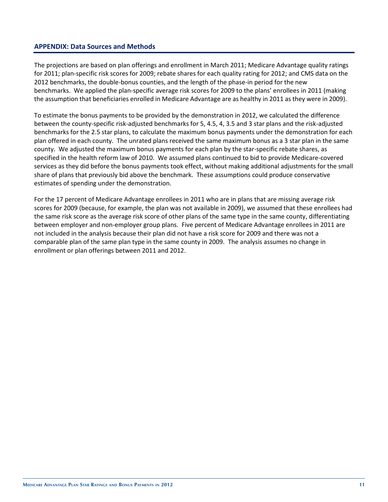### **APPENDIX: Data Sources and Methods**

The projections are based on plan offerings and enrollment in March 2011; Medicare Advantage quality ratings for 2011; plan-specific risk scores for 2009; rebate shares for each quality rating for 2012; and CMS data on the 2012 benchmarks, the double-bonus counties, and the length of the phase-in period for the new benchmarks. We applied the plan-specific average risk scores for 2009 to the plans' enrollees in 2011 (making the assumption that beneficiaries enrolled in Medicare Advantage are as healthy in 2011 as they were in 2009).

To estimate the bonus payments to be provided by the demonstration in 2012, we calculated the difference between the county-specific risk-adjusted benchmarks for 5, 4.5, 4, 3.5 and 3 star plans and the risk-adjusted benchmarks for the 2.5 star plans, to calculate the maximum bonus payments under the demonstration for each plan offered in each county. The unrated plans received the same maximum bonus as a 3 star plan in the same county. We adjusted the maximum bonus payments for each plan by the star-specific rebate shares, as specified in the health reform law of 2010. We assumed plans continued to bid to provide Medicare-covered services as they did before the bonus payments took effect, without making additional adjustments for the small share of plans that previously bid above the benchmark. These assumptions could produce conservative estimates of spending under the demonstration.

For the 17 percent of Medicare Advantage enrollees in 2011 who are in plans that are missing average risk scores for 2009 (because, for example, the plan was not available in 2009), we assumed that these enrollees had the same risk score as the average risk score of other plans of the same type in the same county, differentiating between employer and non-employer group plans. Five percent of Medicare Advantage enrollees in 2011 are not included in the analysis because their plan did not have a risk score for 2009 and there was not a comparable plan of the same plan type in the same county in 2009. The analysis assumes no change in enrollment or plan offerings between 2011 and 2012.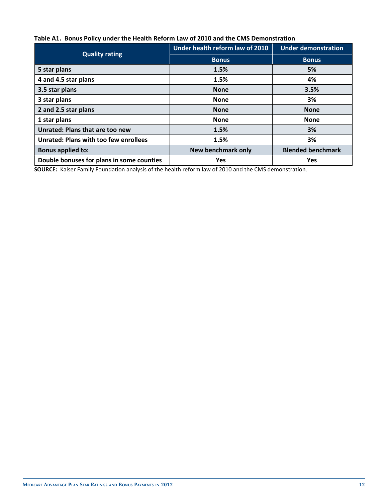## **Table A1. Bonus Policy under the Health Reform Law of 2010 and the CMS Demonstration**

| <b>Quality rating</b>                        | Under health reform law of 2010 | <b>Under demonstration</b> |  |
|----------------------------------------------|---------------------------------|----------------------------|--|
|                                              | <b>Bonus</b>                    | <b>Bonus</b>               |  |
| 5 star plans                                 | 1.5%                            | 5%                         |  |
| 4 and 4.5 star plans                         | 1.5%                            | 4%                         |  |
| 3.5 star plans                               | <b>None</b>                     | 3.5%                       |  |
| 3 star plans                                 | <b>None</b>                     | 3%                         |  |
| 2 and 2.5 star plans                         | <b>None</b>                     | <b>None</b>                |  |
| 1 star plans                                 | <b>None</b>                     | <b>None</b>                |  |
| Unrated: Plans that are too new              | 1.5%                            | 3%                         |  |
| <b>Unrated: Plans with too few enrollees</b> | 1.5%                            | 3%                         |  |
| <b>Bonus applied to:</b>                     | <b>New benchmark only</b>       | <b>Blended benchmark</b>   |  |
| Double bonuses for plans in some counties    | <b>Yes</b>                      | <b>Yes</b>                 |  |

**SOURCE:** Kaiser Family Foundation analysis of the health reform law of 2010 and the CMS demonstration.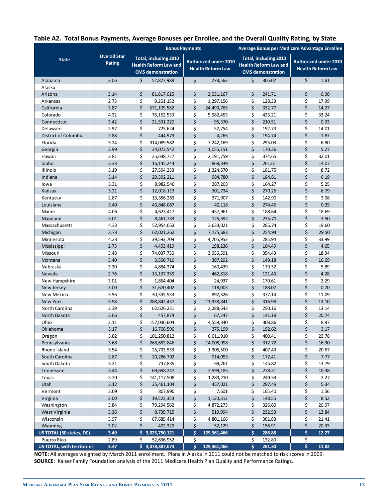|  |  |  | Table A2. Total Bonus Payments, Average Bonuses per Enrollee, and the Overall Quality Rating, by State |  |
|--|--|--|--------------------------------------------------------------------------------------------------------|--|
|--|--|--|--------------------------------------------------------------------------------------------------------|--|

|                            |                     |          | <b>Bonus Payments</b>        |          |                              | Average Bonus per Medicare Advantage Enrollee |                              |                              |                |  |
|----------------------------|---------------------|----------|------------------------------|----------|------------------------------|-----------------------------------------------|------------------------------|------------------------------|----------------|--|
| <b>State</b>               | <b>Overall Star</b> |          | Total, including 2010        |          |                              | Total, including 2010                         |                              |                              |                |  |
|                            | Rating              |          | <b>Health Reform Law and</b> |          | <b>Authorized under 2010</b> |                                               | <b>Health Reform Law and</b> | <b>Authorized under 2010</b> |                |  |
|                            |                     |          | <b>CMS</b> demonstration     |          | <b>Health Reform Law</b>     |                                               | <b>CMS</b> demonstration     | <b>Health Reform Law</b>     |                |  |
| Alabama                    | 3.06                | \$       | 52,827,988                   | \$       | 278,563                      | \$                                            | 306.02                       | \$                           | 1.61           |  |
| Alaska                     |                     |          |                              |          |                              |                                               |                              |                              |                |  |
| Arizona                    | 3.14                | \$       | 81,817,615                   | \$       | 2,031,167                    | \$                                            | 241.71                       | \$                           | 6.00           |  |
| Arkansas                   | 2.73                | \$       | 9,251,152                    | \$       | 1,297,156                    | \$                                            | 128.33                       | \$                           | 17.99          |  |
| California                 | 3.87                | \$       | 571,109,582                  | \$       | 24,490,765                   | \$                                            | 332.77                       | \$                           | 14.27          |  |
| Colorado                   | 4.32                | \$       | 76,162,539                   | \$       | 5,982,453                    | \$                                            | 423.21                       | \$                           | 33.24          |  |
| Connecticut                | 3.42                | \$       | 21,591,220                   | \$       | 95,370                       | \$                                            | 210.51                       | \$                           | 0.93           |  |
| Delaware                   | 2.97                | \$       | 725,624                      | \$       | 52,754                       | \$                                            | 192.73                       | \$                           | 14.01          |  |
| District of Columbia       | 2.88                | \$       | 444,973                      | \$       | 4,265                        | \$                                            | 194.74                       | \$                           | 1.87           |  |
| Florida                    | 3.24                | \$       | 314,089,582                  | \$       | 7,242,169                    | \$                                            | 295.03                       | \$                           | 6.80           |  |
| Georgia                    | 2.99                | \$       | 34,072,542                   | \$       | 1,055,151                    | \$                                            | 170.26                       | \$                           | 5.27           |  |
| Hawaii                     | 3.81                | \$       | 25,648,727                   | \$       | 2,191,759                    | \$                                            | 374.65                       | \$                           | 32.01          |  |
| Idaho                      | 3.33                | \$       | 16, 145, 244                 | \$       | 868,349                      | \$                                            | 261.61                       | \$                           | 14.07          |  |
| <b>Illinois</b>            | 3.19<br>3.14        | \$<br>\$ | 27,594,233                   | \$<br>\$ | 1,324,570<br>984,780         | \$<br>\$                                      | 181.75<br>184.81             | \$<br>\$                     | 8.72<br>6.19   |  |
| Indiana                    |                     |          | 29,392,211                   |          |                              |                                               |                              |                              |                |  |
| lowa<br>Kansas             | 3.31<br>3.21        | \$<br>\$ | 8,982,546<br>12,018,113      | \$<br>\$ | 287,203<br>301,734           | \$<br>\$                                      | 164.27<br>270.26             | \$<br>\$                     | 5.25<br>6.79   |  |
| Kentucky                   | 2.87                | \$       | 13,356,263                   | \$       | 371,907                      | \$                                            | 142.90                       | \$                           | 3.98           |  |
| Louisiana                  | 3.40                | \$       | 43,848,087                   | \$       | 40,118                       | \$                                            | 274.46                       | \$                           | 0.25           |  |
| Maine                      | 4.06                | \$       | 4,623,417                    | \$       | 457,961                      | \$                                            | 188.64                       | \$                           | 18.69          |  |
| Maryland                   | 3.01                | \$       | 8,461,733                    | \$       | 125,592                      | \$                                            | 235.70                       | \$                           | 3.50           |  |
| Massachusetts              | 4.33                | \$       | 52,954,053                   | \$       | 3,633,021                    | \$                                            | 285.74                       | \$                           | 19.60          |  |
| Michigan                   | 3.73                | \$       | 62,021,262                   | \$       | 7,175,683                    | \$                                            | 254.94                       | \$                           | 29.50          |  |
| Minnesota                  | 4.23                | \$       | 39,593,709                   | \$       | 4,705,953                    | \$                                            | 285.94                       | \$                           | 33.99          |  |
| Mississippi                | 2.73                | \$       | 4,453,419                    | \$       | 198,236                      | \$                                            | 104.49                       | \$                           | 4.65           |  |
| Missouri                   | 3.48                | \$       | 74,037,730                   | \$       | 3,956,591                    | \$                                            | 354.43                       | \$                           | 18.94          |  |
| Montana                    | 3.40                | \$       | 3,550,716                    | \$       | 397,292                      | \$                                            | 149.18                       | \$                           | 16.69          |  |
| Nebraska                   | 3.20                | \$       | 4,884,374                    | \$       | 160,439                      | \$                                            | 179.32                       | \$                           | 5.89           |  |
| Nevada                     | 2.76                | \$       | 13, 137, 359                 | \$       | 462,818                      | \$                                            | 121.43                       | \$                           | 4.28           |  |
| New Hampshire              | 3.01                | \$       | 1,854,404                    | \$       | 24,937                       | \$                                            | 170.61                       | \$                           | 2.29           |  |
| New Jersey                 | 3.00                | \$       | 31,670,402                   | \$       | 118,003                      | \$                                            | 188.07                       | \$                           | 0.70           |  |
| New Mexico                 | 3.56                | \$       | 30, 335, 533                 | \$       | 892,326                      | \$                                            | 377.14                       | \$                           | 11.09          |  |
| New York                   | 3.58                | \$       | 288, 842, 437                | \$       | 11,938,841                   | \$                                            | 316.98                       | \$                           | 13.10          |  |
| North Carolina             | 3.39                | \$       | 62,626,221                   | \$       | 3,288,643                    | \$                                            | 250.16                       | \$                           | 13.14          |  |
| North Dakota               | 3.06                | \$       | 457,874                      | \$       | 67,247                       | \$                                            | 141.19                       | \$                           | 20.74          |  |
| Ohio                       | 3.11                | \$       | 157,036,604                  | \$       | 4,559,340                    | \$                                            | 308.86                       | \$                           | 8.97           |  |
| Oklahoma                   | 3.17                | \$       | 16,708,596                   | \$       | 275,199                      | \$                                            | 192.62                       | \$                           | 3.17           |  |
| Oregon                     | 3.82                | \$       | 101,250,812                  | \$       | 6,011,910                    | \$                                            | 400.41                       | \$                           | 23.78          |  |
| Pennsylvania               | 3.68                | \$       | 268,682,846                  | \$       | 14,008,998                   | \$                                            | 312.72                       | \$                           | 16.30          |  |
| Rhode Island               | 3.54                | \$       | 25,733,533                   | \$       | 1,305,500                    | \$                                            | 407.43                       | \$                           | 20.67          |  |
| South Carolina             | 2.87                | \$       | 20,286,792                   | \$       | 914,053                      | \$                                            | 172.41<br>145.82             | \$<br>\$                     | 7.77           |  |
| South Dakota               | 3.21<br>3.44        | \$<br>\$ | 737,835<br>69,698,247        | \$<br>\$ | 69,761                       | \$<br>\$                                      | 278.31                       | \$                           | 13.79<br>10.38 |  |
| Tennessee                  | 3.20                | \$       | 141, 117, 508                | \$       | 2,599,185<br>1,283,210       | \$                                            | 249.53                       | \$                           | 2.27           |  |
| Texas<br>Utah              | 3.12                | \$       | 25,461,104                   | \$       | 457,021                      | \$                                            | 297.49                       | \$                           | 5.34           |  |
| Vermont                    | 3.09                | \$       | 807,990                      | \$       | 7,601                        | \$                                            | 165.40                       | \$                           | 1.56           |  |
| Virginia                   | 3.00                | \$       | 19,523,353                   | \$       | 1,120,312                    | \$                                            | 148.55                       | \$                           | 8.52           |  |
| Washington                 | 3.84                | \$       | 79,294,562                   | \$       | 4,872,273                    | \$                                            | 326.60                       | \$                           | 20.07          |  |
| West Virginia              | 3.36                | \$       | 8,739,715                    | \$       | 519,994                      | \$                                            | 232.53                       | \$                           | 13.84          |  |
| Wisconsin                  | 3.97                | \$       | 67,685,414                   | \$       | 4,801,166                    | \$                                            | 301.83                       | \$                           | 21.41          |  |
| Wyoming                    | 3.02                | \$       | 402,329                      | \$       | 52,129                       | \$                                            | 156.91                       | \$                           | 20.33          |  |
| US TOTAL (50 states, DC)   | 3.49                | \$       | 3,025,750,121                | \$       | 129,361,466                  | \$                                            | 286.88                       | \$                           | 12.27          |  |
| Puerto Rico                | 2.89                | \$       | 52,636,952                   | \$       |                              | \$                                            | 132.80                       | \$                           |                |  |
| US TOTAL, with territories | 3.47                |          | \$3,078,387,073              | \$       | 129,361,466                  | \$                                            | 281.30                       | \$                           | 11.82          |  |

**NOTE:** All averages weighted by March 2011 enrollment. Plans in Alaska in 2011 could not be matched to risk scores in 2009. **SOURCE:** Kaiser Family Foundation analysis of the 2011 Medicare Health Plan Quality and Performance Ratings.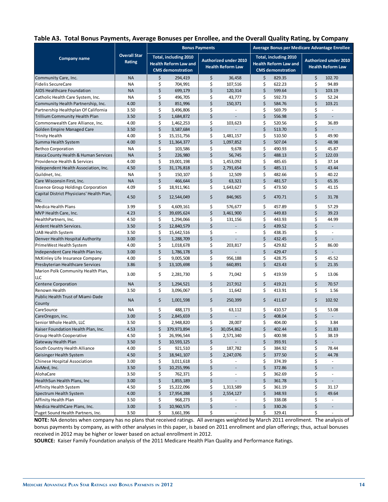#### **Table A3. Total Bonus Payments, Average Bonuses per Enrollee, and the Overall Quality Rating, by Company**

|                                                   |                               | <b>Bonus Payments</b> |                                                                                   |    |                                                          | Average Bonus per Medicare Advantage Enrollee |                                                                                   |    |                                                          |
|---------------------------------------------------|-------------------------------|-----------------------|-----------------------------------------------------------------------------------|----|----------------------------------------------------------|-----------------------------------------------|-----------------------------------------------------------------------------------|----|----------------------------------------------------------|
| <b>Company name</b>                               | <b>Overall Star</b><br>Rating |                       | Total, including 2010<br><b>Health Reform Law and</b><br><b>CMS</b> demonstration |    | <b>Authorized under 2010</b><br><b>Health Reform Law</b> |                                               | Total, including 2010<br><b>Health Reform Law and</b><br><b>CMS</b> demonstration |    | <b>Authorized under 2010</b><br><b>Health Reform Law</b> |
| Community Care, Inc.                              | <b>NA</b>                     | \$                    | 294,419                                                                           | \$ | 36,458                                                   | \$                                            | 829.35                                                                            | \$ | 102.70                                                   |
| <b>Fidelis SecureCare</b>                         | <b>NA</b>                     | \$                    | 704,991                                                                           | \$ | 107,516                                                  | \$                                            | 622.23                                                                            | \$ | 94.89                                                    |
| <b>AIDS Healthcare Foundation</b>                 | <b>NA</b>                     | \$                    | 699,179                                                                           | \$ | 120,314                                                  | \$                                            | 599.64                                                                            | \$ | 103.19                                                   |
| Catholic Health Care System, Inc.                 | <b>NA</b>                     | \$                    | 496,705                                                                           | \$ | 43,777                                                   | \$                                            | 592.73                                                                            | \$ | 52.24                                                    |
| Community Health Partnership, Inc.                | 4.00                          | \$                    | 851,996                                                                           | \$ | 150,371                                                  | \$                                            | 584.76                                                                            | \$ | 103.21                                                   |
| Partnership Healthplan Of California              | 3.50                          | \$                    | 3,496,806                                                                         | \$ | $\bar{a}$                                                | \$                                            | 569.79                                                                            | \$ | $\overline{\phantom{a}}$                                 |
| <b>Trillium Community Health Plan</b>             | 3.50                          | \$                    | 1,684,872                                                                         | \$ |                                                          | \$                                            | 556.98                                                                            | \$ | ÷,                                                       |
| Commonwealth Care Alliance, Inc.                  | 4.00                          | \$                    | 1,462,253                                                                         | \$ | 103,623                                                  | \$                                            | 520.56                                                                            | \$ | 36.89                                                    |
| <b>Golden Empire Managed Care</b>                 | 3.50                          | \$                    | 3,587,684                                                                         | \$ |                                                          | \$                                            | 513.70                                                                            | \$ | $\overline{\phantom{a}}$                                 |
| <b>Trinity Health</b>                             | 4.00                          | \$                    | 15, 151, 756                                                                      | \$ | 1,481,157                                                | \$                                            | 510.50                                                                            | \$ | 49.90                                                    |
| Summa Health System                               | 4.00                          | \$                    | 11,364,377                                                                        | \$ | 1,097,852                                                | \$                                            | 507.04                                                                            | \$ | 48.98                                                    |
| <b>Bethco Corporation</b>                         | <b>NA</b>                     | \$                    | 103,586                                                                           | \$ | 9,678                                                    | \$                                            | 490.93                                                                            | \$ | 45.87                                                    |
| Itasca County Health & Human Services             | <b>NA</b>                     | \$                    | 226,980                                                                           | \$ | 56,745                                                   | \$                                            | 488.13                                                                            | \$ | 122.03                                                   |
| Providence Health & Services                      | 4.00                          | \$                    | 19,001,198                                                                        | \$ | 1,453,092                                                | \$                                            | 485.65                                                                            | \$ | 37.14                                                    |
| Independent Health Association, Inc.              | 4.50                          | \$                    | 31,176,818                                                                        | \$ | 2,791,654                                                | \$                                            | 485.11                                                                            | \$ | 43.44                                                    |
| Guildnet, Inc.                                    | <b>NA</b>                     | \$                    | 150,107                                                                           | \$ | 12,509                                                   | \$                                            | 482.66                                                                            | \$ | 40.22                                                    |
| Care Wisconsin First, Inc.                        | <b>NA</b>                     | \$                    | 466,644                                                                           | \$ | 63,321                                                   | \$                                            | 481.57                                                                            | \$ | 65.35                                                    |
| <b>Essence Group Holdings Corporation</b>         | 4.09                          | \$                    | 18,911,961                                                                        | \$ | 1,643,627                                                | \$                                            | 473.50                                                                            | \$ | 41.15                                                    |
| Capital District Physicians' Health Plan,<br>Inc. | 4.50                          | \$                    | 12,544,049                                                                        | \$ | 846,965                                                  | \$                                            | 470.71                                                                            | \$ | 31.78                                                    |
| Medica Health Plans                               | 3.99                          | \$                    | 4,609,161                                                                         | \$ | 576,677                                                  | \$                                            | 457.89                                                                            | \$ | 57.29                                                    |
| MVP Health Care, Inc.                             | 4.23                          | \$                    | 39,695,624                                                                        | \$ | 3,461,900                                                | $\zeta$                                       | 449.83                                                                            | \$ | 39.23                                                    |
| HealthPartners, Inc.                              | 4.50                          | \$                    | 1,294,066                                                                         | \$ | 131,156                                                  | \$                                            | 443.93                                                                            | \$ | 44.99                                                    |
| Ardent Health Services.                           | 3.50                          | \$                    | 12,840,579                                                                        | \$ |                                                          | \$                                            | 439.52                                                                            | \$ | $\overline{a}$                                           |
| <b>UAB Health System</b>                          | 3.50                          | \$                    | 15,642,516                                                                        | \$ | ×.                                                       | \$                                            | 438.35                                                                            | \$ | ä,                                                       |
| Denver Health Hospital Authority                  | 3.00                          | \$                    | 1,288,709                                                                         | \$ |                                                          | \$                                            | 432.45                                                                            | \$ | $\overline{a}$                                           |
| PrimeWest Health System                           | 4.00                          | \$                    | 1,018,678                                                                         | \$ | 203,817                                                  | \$                                            | 429.82                                                                            | \$ | 86.00                                                    |
| Independent Care Health Plan Inc.                 | 3.00                          | \$                    | 1,786,178                                                                         | \$ |                                                          | \$                                            | 429.47                                                                            | \$ |                                                          |
| McKinley Life Insurance Company                   | 4.00                          | \$                    | 9,005,508                                                                         | \$ | 956,188                                                  | \$                                            | 428.75                                                                            | \$ | 45.52                                                    |
| Presbyterian Healthcare Services                  | 3.86                          | \$                    | 13,105,698                                                                        | \$ | 660,891                                                  | \$                                            | 423.43                                                                            | \$ | 21.35                                                    |
| Marion Polk Community Health Plan,<br>LLC         | 3.00                          | \$                    | 2,281,730                                                                         | \$ | 71,042                                                   | \$                                            | 419.59                                                                            | \$ | 13.06                                                    |
| <b>Centene Corporation</b>                        | <b>NA</b>                     | \$                    | 1,294,521                                                                         | \$ | 217,912                                                  | \$                                            | 419.21                                                                            | \$ | 70.57                                                    |
| <b>Renown Health</b>                              | 3.50                          | \$                    | 3,096,067                                                                         | \$ | 11,642                                                   | \$                                            | 413.91                                                                            | \$ | 1.56                                                     |
| Public Health Trust of Miami-Dade<br>County       | <b>NA</b>                     | \$                    | 1,001,598                                                                         | \$ | 250,399                                                  | \$                                            | 411.67                                                                            | \$ | 102.92                                                   |
| CareSource                                        | ΝA                            | \$                    | 488,173                                                                           | \$ | 63,112                                                   | \$                                            | 410.57                                                                            | \$ | 53.08                                                    |
| CareOregon, Inc.                                  | 3.00                          | \$                    | 2,845,659                                                                         | \$ |                                                          | \$                                            | 408.04                                                                            | \$ |                                                          |
| Senior Whole Health, LLC                          | 3.50                          | \$                    | 2,948,820                                                                         | \$ | 28,007                                                   | \$                                            | 404.00                                                                            | \$ | 3.84                                                     |
| Kaiser Foundation Health Plan, Inc.               | 4.53                          | \$                    | 379,973,894                                                                       | \$ | 30,054,862                                               | \$                                            | 402.44                                                                            | \$ | 31.83                                                    |
| Group Health Cooperative                          | 4.50                          | \$                    | 26,996,544                                                                        | \$ | 2,571,340                                                | \$                                            | 400.98                                                                            | \$ | 38.19                                                    |
| Gateway Health Plan                               | 3.50                          | \$                    | 10,593,125                                                                        | \$ |                                                          | \$                                            | 393.91                                                                            | \$ |                                                          |
| South Country Health Alliance                     | 4.00                          | \$                    | 921,510                                                                           | \$ | 187,782                                                  | \$                                            | 384.92                                                                            | \$ | 78.44                                                    |
| Geisinger Health System                           | 4.50                          | \$                    | 18,941,107                                                                        | \$ | 2,247,076                                                | \$                                            | 377.50                                                                            | \$ | 44.78                                                    |
| Chinese Hospital Association                      | 3.00                          | \$                    | 3,011,618                                                                         | \$ |                                                          | \$                                            | 374.39                                                                            | \$ |                                                          |
| AvMed, Inc.                                       | 3.50                          | \$                    | 10,255,996                                                                        | \$ | $\overline{\phantom{a}}$                                 | \$                                            | 372.86                                                                            | \$ |                                                          |
| AlohaCare                                         | 3.50                          | \$                    | 762,371                                                                           | \$ | $\overline{\phantom{a}}$                                 | \$                                            | 362.69                                                                            | \$ | $\overline{\phantom{a}}$                                 |
| HealthSun Health Plans, Inc                       | 3.00                          | \$                    | 1,855,189                                                                         | \$ |                                                          | \$                                            | 361.78                                                                            | \$ | $\centerdot$                                             |
| Affinity Health System                            | 4.50                          | \$                    | 15,222,096                                                                        | \$ | 1,313,589                                                | \$                                            | 361.19                                                                            | \$ | 31.17                                                    |
| Spectrum Health System                            | 4.00                          | \$                    | 17,954,288                                                                        | \$ | 2,554,127                                                | \$                                            | 348.93                                                                            | \$ | 49.64                                                    |
| Affinity Health Plan                              | 3.50                          | \$                    | 968,273                                                                           | \$ | $\overline{\phantom{a}}$                                 | \$                                            | 338.08                                                                            | \$ | $\overline{\phantom{a}}$                                 |
| Medica HealthCare Plans, Inc.                     | 3.00                          | \$                    | 10,960,575                                                                        | \$ | $\blacksquare$                                           | \$                                            | 330.26                                                                            | \$ |                                                          |
| Puget Sound Health Partners, Inc.                 | 3.50                          | \$                    | 3,661,396                                                                         | \$ | $\overline{\phantom{a}}$                                 | \$                                            | 329.41                                                                            | \$ | $\overline{\phantom{a}}$                                 |

**NOTE:** NA denotes when company has no plans that received ratings. All averages weighted by March 2011 enrollment. The analysis of bonus payments by company, as with other analyses in this paper, is based on 2011 enrollment and plan offerings; thus, actual bonuses received in 2012 may be higher or lower based on actual enrollment in 2012.

**SOURCE:** Kaiser Family Foundation analysis of the 2011 Medicare Health Plan Quality and Performance Ratings.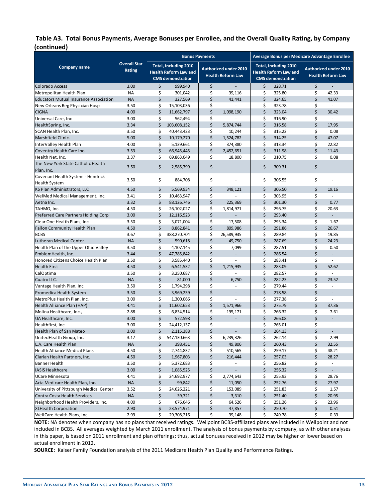#### **Table A3. Total Bonus Payments, Average Bonuses per Enrollee, and the Overall Quality Rating, by Company (continued)**

|                                                           |                               | <b>Bonus Payments</b> |                                                                                                                                               |          |                     | Average Bonus per Medicare Advantage Enrollee                                     |                  |                                                          |                          |
|-----------------------------------------------------------|-------------------------------|-----------------------|-----------------------------------------------------------------------------------------------------------------------------------------------|----------|---------------------|-----------------------------------------------------------------------------------|------------------|----------------------------------------------------------|--------------------------|
| <b>Company name</b>                                       | <b>Overall Star</b><br>Rating |                       | Total, including 2010<br><b>Authorized under 2010</b><br><b>Health Reform Law and</b><br><b>Health Reform Law</b><br><b>CMS</b> demonstration |          |                     | Total, including 2010<br><b>Health Reform Law and</b><br><b>CMS</b> demonstration |                  | <b>Authorized under 2010</b><br><b>Health Reform Law</b> |                          |
| Colorado Access                                           | 3.00                          | \$                    | 999,940                                                                                                                                       | \$       |                     | \$                                                                                | 328.71           | \$                                                       |                          |
| Metropolitan Health Plan                                  | <b>NA</b>                     | \$                    | 301,042                                                                                                                                       | \$       | 39,116              | \$                                                                                | 325.80           | \$                                                       | 42.33                    |
| <b>Educators Mutual Insurance Association</b>             | <b>NA</b>                     | \$                    | 327,569                                                                                                                                       | \$       | 41,441              | \$                                                                                | 324.65           | \$                                                       | 41.07                    |
| New Orleans Reg Physician Hosp                            | 3.50                          | \$                    | 15,103,036                                                                                                                                    | \$       |                     | \$                                                                                | 323.78           | \$                                                       | ÷,                       |
| <b>CIGNA</b>                                              | 4.00                          | \$                    | 11,662,797                                                                                                                                    | \$       | 1,098,190           | \$                                                                                | 323.04           | \$                                                       | 30.42                    |
| Universal Care, Inc                                       | 3.00                          | \$                    | 562,494                                                                                                                                       | \$       |                     | \$                                                                                | 316.90           | \$                                                       | ÷.                       |
| HealthSpring, Inc.                                        | 3.34                          | \$                    | 103,608,152                                                                                                                                   | \$       | 5.874.744           | \$                                                                                | 316.58           | \$                                                       | 17.95                    |
| SCAN Health Plan, Inc.                                    | 3.50                          | \$                    | 40,443,423                                                                                                                                    | \$       | 10,244              | \$                                                                                | 315.22           | \$                                                       | 0.08                     |
| Marshfield Clinic.                                        | 5.00                          | \$                    | 10,179,270                                                                                                                                    | \$       | 1,524,782           | \$                                                                                | 314.25           | \$                                                       | 47.07                    |
| InterValley Health Plan                                   | 4.00                          | \$                    | 5,139,661                                                                                                                                     | \$       | 374,380             | \$                                                                                | 313.34           | \$                                                       | 22.82                    |
| Coventry Health Care Inc.                                 | 3.53                          | \$                    | 66,945,445                                                                                                                                    | \$       | 2,452,651           | \$                                                                                | 311.98           | \$                                                       | 11.43                    |
| Health Net, Inc.                                          | 3.37                          | \$                    | 69,863,049                                                                                                                                    | \$       | 18,800              | \$                                                                                | 310.75           | \$                                                       | 0.08                     |
| The New York State Catholic Health<br>Plan, Inc.          | 3.50                          | \$                    | 2,585,799                                                                                                                                     | \$       |                     | \$                                                                                | 309.31           | \$                                                       |                          |
| Covenant Health System - Hendrick<br><b>Health System</b> | 3.50                          | \$                    | 884,708                                                                                                                                       | \$       |                     | \$                                                                                | 306.55           | \$                                                       | ä,                       |
| KS Plan Administrators, LLC                               | 4.50                          | \$                    | 5,569,934                                                                                                                                     | \$       | 348,121             | \$                                                                                | 306.50           | \$                                                       | 19.16                    |
| WelMed Medical Management, Inc.                           | 3.41                          | \$                    | 10,463,947                                                                                                                                    | \$       |                     | \$                                                                                | 303.95           | \$                                                       |                          |
| Aetna Inc.                                                | 3.32                          | \$                    | 88,126,746                                                                                                                                    | \$       | 225,369             | \$                                                                                | 301.30           | \$                                                       | 0.77                     |
| TAHMO, Inc.                                               | 4.50                          | \$                    | 26,102,027                                                                                                                                    | \$       | 1,814,971           | \$                                                                                | 296.75           | \$                                                       | 20.63                    |
| Preferred Care Partners Holding Corp                      | 3.00                          | \$                    | 12,116,523                                                                                                                                    | \$       |                     | \$                                                                                | 293.40           | \$                                                       |                          |
| Clear One Health Plans, Inc.                              | 3.50                          | \$                    | 3,071,004                                                                                                                                     | \$       | 17,508              | \$                                                                                | 293.34           | \$                                                       | 1.67                     |
| <b>Fallon Community Health Plan</b>                       | 4.50                          | \$                    | 8,862,841                                                                                                                                     | \$       | 809,986             | \$                                                                                | 291.86           | \$                                                       | 26.67                    |
| <b>BCBS</b>                                               | 3.67                          | \$                    | 388,270,704                                                                                                                                   | \$       | 26,589,935          | \$                                                                                | 289.84           | \$                                                       | 19.85                    |
| Lutheran Medical Center                                   | <b>NA</b>                     | \$                    | 590,618                                                                                                                                       | \$       | 49,750              | \$                                                                                | 287.69           | \$                                                       | 24.23                    |
| Health Plan of the Upper Ohio Valley                      | 3.50                          | \$                    | 4,107,145                                                                                                                                     | \$       | 7,099               | \$                                                                                | 287.51           | \$                                                       | 0.50                     |
| EmblemHealth, Inc.                                        | 3.44                          | \$                    | 47,785,842                                                                                                                                    | \$       | $\overline{a}$      | \$                                                                                | 286.54           | \$                                                       | $\overline{\phantom{a}}$ |
| Honored Citizens Choice Health Plan                       | 3.50                          | \$                    | 3,585,440                                                                                                                                     | \$       |                     | \$                                                                                | 283.41           | \$                                                       | $\omega$                 |
| <b>Health First</b>                                       | 4.50                          | \$                    | 6,541,532                                                                                                                                     | \$       | 1,215,935           | \$                                                                                | 283.09           | \$                                                       | 52.62                    |
| CalOptima                                                 | 3.50                          | \$                    | 3,250,687                                                                                                                                     | \$       |                     | \$                                                                                | 282.57           | \$                                                       | ÷.                       |
| Cuatro LLC.                                               | <b>NA</b>                     | \$                    | 81,000                                                                                                                                        | \$       | 6,750               | \$                                                                                | 282.23           | \$                                                       | 23.52                    |
| Vantage Health Plan, Inc.                                 | 3.50                          | \$                    | 1,794,298                                                                                                                                     | \$       | ÷,                  | \$                                                                                | 279.44           | \$                                                       | ä,                       |
| Promedica Health System                                   | 3.50                          | \$                    | 3,969,239                                                                                                                                     | \$       |                     | \$                                                                                | 278.58           | \$                                                       | $\overline{a}$           |
| MetroPlus Health Plan, Inc.                               | 3.00                          | \$                    | 1,300,066                                                                                                                                     | \$       |                     | \$                                                                                | 277.38           | \$                                                       | ÷.                       |
| Health Alliance Plan (HAP)                                | 4.41                          | \$                    | 11,602,653                                                                                                                                    | \$       | 1,571,966           | \$                                                                                | 275.79           | \$                                                       | 37.36                    |
| Molina Healthcare, Inc.,                                  | 2.88                          | \$                    | 6,834,514                                                                                                                                     | \$       | 195,171             | \$                                                                                | 266.32           | \$                                                       | 7.61                     |
| UA Healthcare, Inc.                                       | 3.00                          | \$                    | 572,598                                                                                                                                       | \$       | ÷,                  | \$                                                                                | 266.08           | \$                                                       |                          |
| Healthfirst, Inc.                                         | 3.00                          | \$<br>$\zeta$         | 24,412,137                                                                                                                                    | \$<br>\$ | $\sim$              | \$<br>\$                                                                          | 265.01<br>264.13 | \$<br>\$                                                 | ٠                        |
| <b>Health Plan of San Mateo</b>                           | 3.00                          |                       | 2,115,388                                                                                                                                     |          |                     |                                                                                   |                  |                                                          | 2.99                     |
| UnitedHealth Group, Inc.<br>L.A. Care Health Plan         | 3.17<br><b>NA</b>             | \$<br>\$              | 547,130,663<br>398,451                                                                                                                        | \$<br>\$ | 6,239,326<br>49,806 | \$<br>\$                                                                          | 262.14<br>260.43 | \$<br>\$                                                 | 32.55                    |
| <b>Health Alliance Medical Plans</b>                      | 4.50                          | \$                    | 2,744,832                                                                                                                                     | \$       | 510,565             | \$                                                                                | 259.17           | \$                                                       | 48.21                    |
| Clarian Health Partners, Inc.                             | 4.50                          | \$                    | 1,967,803                                                                                                                                     | \$       | 216,444             | \$                                                                                | 257.03           | \$                                                       | 28.27                    |
| <b>Banner Health</b>                                      | 3.50                          | \$                    | 5,372,683                                                                                                                                     | \$       |                     | \$                                                                                | 256.82           | \$                                                       | $\overline{\phantom{a}}$ |
| <b>IASIS Healthcare</b>                                   | 3.00                          | \$                    | 1,085,525                                                                                                                                     | \$       | $\blacksquare$      | \$                                                                                | 256.32           | \$                                                       |                          |
| <b>UCare Minnesota</b>                                    | 4.41                          | \$                    | 24,692,977                                                                                                                                    | \$       | 2,774,643           | \$                                                                                | 255.93           | \$                                                       | 28.76                    |
| Arta Medicare Health Plan, Inc.                           | <b>NA</b>                     | \$                    | 99,842                                                                                                                                        | \$       | 11,050              | \$                                                                                | 252.76           | \$                                                       | 27.97                    |
| University of Pittsburgh Medical Center                   | 3.52                          | \$                    | 24,626,221                                                                                                                                    | \$       | 153,089             | \$                                                                                | 251.83           | \$                                                       | 1.57                     |
| Contra Costa Health Services                              | <b>NA</b>                     | \$                    | 39,721                                                                                                                                        | \$       | 3,310               | \$                                                                                | 251.40           | \$                                                       | 20.95                    |
| Neighborhood Health Providers, Inc.                       | 4.00                          | \$                    | 676,646                                                                                                                                       | \$       | 64,526              | \$                                                                                | 251.26           | \$                                                       | 23.96                    |
| <b>XLHealth Corporation</b>                               | 2.90                          | \$                    | 23,574,971                                                                                                                                    | \$       | 47,857              | \$                                                                                | 250.70           | \$                                                       | 0.51                     |
| WellCare Health Plans, Inc.                               | 2.99                          | \$                    | 29,308,216                                                                                                                                    | \$       | 39,148              | \$                                                                                | 249.78           | \$                                                       | 0.33                     |

**NOTE:** NA denotes when company has no plans that received ratings. Wellpoint BCBS-affiliated plans are included in Wellpoint and not included in BCBS. All averages weighted by March 2011 enrollment. The analysis of bonus payments by company, as with other analyses in this paper, is based on 2011 enrollment and plan offerings; thus, actual bonuses received in 2012 may be higher or lower based on actual enrollment in 2012.

**SOURCE:** Kaiser Family Foundation analysis of the 2011 Medicare Health Plan Quality and Performance Ratings.